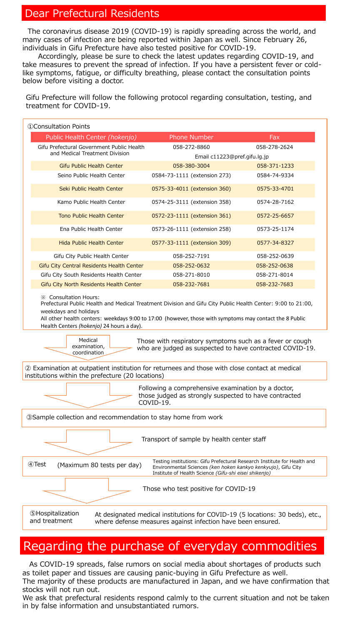#### Dear Prefectural Residents

The coronavirus disease 2019 (COVID-19) is rapidly spreading across the world, and many cases of infection are being reported within Japan as well. Since February 26, individuals in Gifu Prefecture have also tested positive for COVID-19.

Accordingly, please be sure to check the latest updates regarding COVID-19, and take measures to prevent the spread of infection. If you have a persistent fever or coldlike symptoms, fatigue, or difficulty breathing, please contact the consultation points below before visiting a doctor.

weekdays and holidays

All other health centers: weekdays 9:00 to 17:00 (however, those with symptoms may contact the 8 Public Health Centers *(hokenjo)* 24 hours a day).

| Public Health Center (hokenjo)                                              | <b>Phone Number</b>          | Fax          |
|-----------------------------------------------------------------------------|------------------------------|--------------|
| Gifu Prefectural Government Public Health<br>and Medical Treatment Division | 058-272-8860                 | 058-278-2624 |
|                                                                             | Email c11223@pref.gifu.lg.jp |              |
| <b>Gifu Public Health Center</b>                                            | 058-380-3004                 | 058-371-1233 |
| Seino Public Health Center                                                  | 0584-73-1111 (extension 273) | 0584-74-9334 |
| Seki Public Health Center                                                   | 0575-33-4011 (extension 360) | 0575-33-4701 |
| Kamo Public Health Center                                                   | 0574-25-3111 (extension 358) | 0574-28-7162 |
| <b>Tono Public Health Center</b>                                            | 0572-23-1111 (extension 361) | 0572-25-6657 |
| Ena Public Health Center                                                    | 0573-26-1111 (extension 258) | 0573-25-1174 |
| <b>Hida Public Health Center</b>                                            | 0577-33-1111 (extension 309) | 0577-34-8327 |
| Gifu City Public Health Center                                              | 058-252-7191                 | 058-252-0639 |
| Gifu City Central Residents Health Center                                   | 058-252-0632                 | 058-252-0638 |
| Gifu City South Residents Health Center                                     | 058-271-8010                 | 058-271-8014 |
| Gifu City North Residents Health Center                                     | 058-232-7681                 | 058-232-7683 |

Medical examination, coordination

Those with respiratory symptoms such as a fever or cough who are judged as suspected to have contracted COVID-19.

② Examination at outpatient institution for returnees and those with close contact at medical institutions within the prefecture (20 locations)

Following a comprehensive examination by a doctor,



Gifu Prefecture will follow the following protocol regarding consultation, testing, and treatment for COVID-19.

As COVID-19 spreads, false rumors on social media about shortages of products such as toilet paper and tissues are causing panic-buying in Gifu Prefecture as well. The majority of these products are manufactured in Japan, and we have confirmation that stocks will not run out.

We ask that prefectural residents respond calmly to the current situation and not be taken in by false information and unsubstantiated rumors.

# Regarding the purchase of everyday commodities